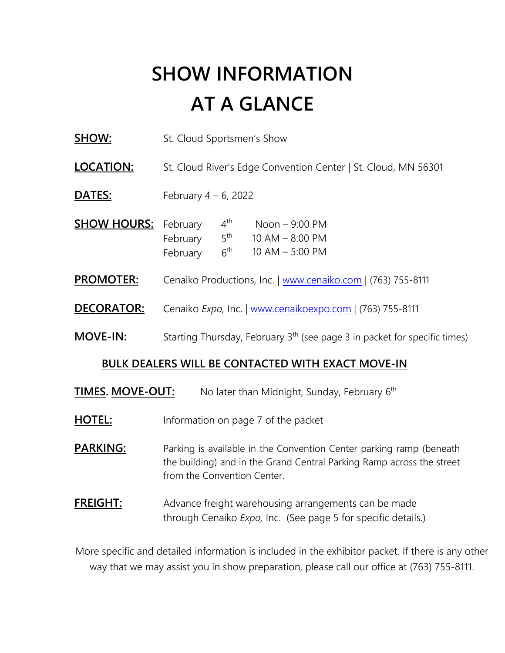# **SHOW INFORMATION AT A GLANCE**

**SHOW:** St. Cloud Sportsmen's Show

**LOCATION:** St. Cloud River's Edge Convention Center | St. Cloud, MN 56301

- **DATES:** February 4 – 6, 2022
- **SHOW HOURS:** February 4<sup>th</sup> Noon 9:00 PM 10 AM – 8:00 PM 10 AM – 5:00 PM  $4^{\text{th}}$ February  $5<sup>th</sup>$ February 6<sup>th</sup>
- **PROMOTER:**  Cenaiko Productions, Inc. | [www.cenaiko.com](http://www.cenaiko.com/) | (763) 755-8111
- **DECORATOR:** Cenaiko *Expo,* Inc. | [www.cenaikoexpo.com](http://www.cenaikoexpo.com/) | (763) 755-8111
- **MOVE-IN:** Starting Thursday, February 3<sup>th</sup> (see page 3 in packet for specific times)

#### **BULK DEALERS WILL BE CONTACTED WITH EXACT MOVE-IN**

- TIMES. MOVE-OUT: No later than Midnight, Sunday, February 6<sup>th</sup>
- **HOTEL:** Information on page 7 of the packet

**PARKING:** Parking is available in the Convention Center parking ramp (beneath the building) and in the Grand Central Parking Ramp across the street from the Convention Center.

**FREIGHT:** Advance freight warehousing arrangements can be made through Cenaiko *Expo,* Inc. (See page 5 for specific details.)

More specific and detailed information is included in the exhibitor packet. If there is any other way that we may assist you in show preparation, please call our office at (763) 755-8111.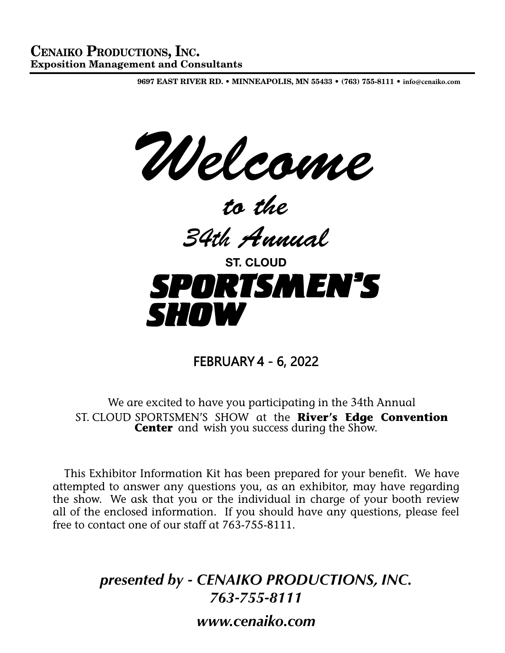9697 EAST RiVER RD. • MiNNEAPOLiS, MN 55433 • (763) 755-8111 • **info@cenaiko.com**

*Welcome*

*to the*

*34th Annual*



FEBRUARY 4 - 6, 2022

We are excited to have you participating in the 34th Annual ST. CLOUD SPORTSMEN'S SHOW at the **River's Edge Convention Center** and wish you success during the Show.

 This Exhibitor Information Kit has been prepared for your benefit. We have attempted to answer any questions you, as an exhibitor, may have regarding the show. We ask that you or the individual in charge of your booth review all of the enclosed information. If you should have any questions, please feel free to contact one of our staff at 763-755-8111.

> *presented by - CENAIKO PRODUCTIONS, INC. 763-755-8111 www.cenaiko.com*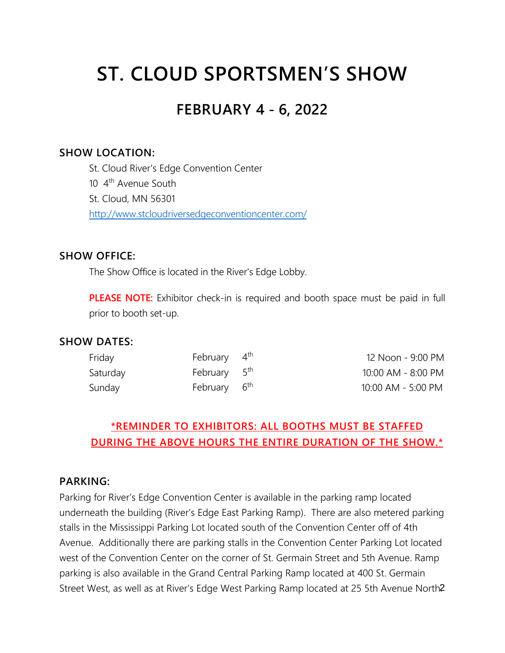# **ST. CLOUD SPORTSMEN'S SHOW**

# **FEBRUARY 4 - 6, 2022**

#### **SHOW LOCATION:**

St. Cloud River's Edge Convention Center 10 4<sup>th</sup> Avenue South St. Cloud, MN 56301 <http://www.stcloudriversedgeconventioncenter.com/>

#### **SHOW OFFICE:**

The Show Office is located in the River's Edge Lobby.

**PLEASE NOTE:** Exhibitor check-in is required and booth space must be paid in full prior to booth set-up.

#### **SHOW DATES:**

| Friday   | February 4 <sup>th</sup> | 12 Noon - 9:00 PM  |
|----------|--------------------------|--------------------|
| Saturday | February 5 <sup>th</sup> | 10:00 AM - 8:00 PM |
| Sunday   | February 6 <sup>th</sup> | 10:00 AM - 5:00 PM |

## **\*REMINDER TO EXHIBITORS: ALL BOOTHS MUST BE STAFFED DURING THE ABOVE HOURS THE ENTIRE DURATION OF THE SHOW.\***

#### **PARKING:**

Street West, as well as at River's Edge West Parking Ramp located at 25 5th Avenue North2 Parking for River's Edge Convention Center is available in the parking ramp located underneath the building (River's Edge East Parking Ramp). There are also metered parking stalls in the Mississippi Parking Lot located south of the Convention Center off of 4th Avenue. Additionally there are parking stalls in the Convention Center Parking Lot located west of the Convention Center on the corner of St. Germain Street and 5th Avenue. Ramp parking is also available in the Grand Central Parking Ramp located at 400 St. Germain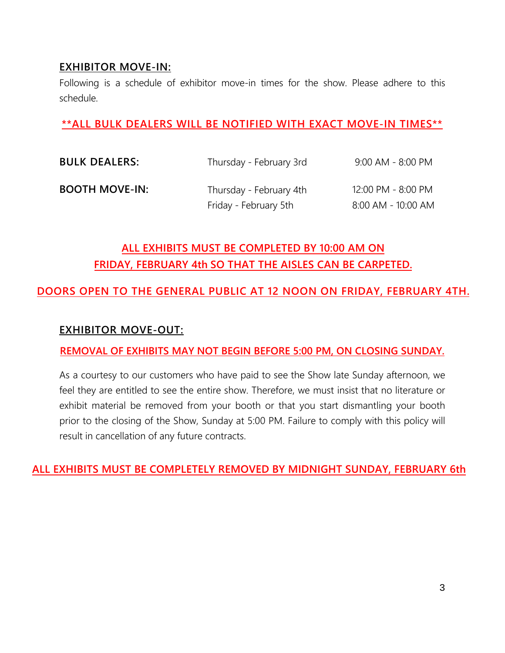#### **EXHIBITOR MOVE-IN:**

Following is a schedule of exhibitor move-in times for the show. Please adhere to this schedule.

### **\*\*ALL BULK DEALERS WILL BE NOTIFIED WITH EXACT MOVE-IN TIMES\*\***

| <b>BULK DEALERS:</b>  | Thursday - February 3rd | $9:00$ AM - 8:00 PM |
|-----------------------|-------------------------|---------------------|
| <b>BOOTH MOVE-IN:</b> | Thursday - February 4th | 12:00 PM - 8:00 PM  |
|                       | Friday - February 5th   | 8:00 AM - 10:00 AM  |

# **ALL EXHIBITS MUST BE COMPLETED BY 10:00 AM ON FRIDAY, FEBRUARY 4th SO THAT THE AISLES CAN BE CARPETED.**

## **DOORS OPEN TO THE GENERAL PUBLIC AT 12 NOON ON FRIDAY, FEBRUARY 4TH.**

#### **EXHIBITOR MOVE-OUT:**

#### **REMOVAL OF EXHIBITS MAY NOT BEGIN BEFORE 5:00 PM, ON CLOSING SUNDAY.**

As a courtesy to our customers who have paid to see the Show late Sunday afternoon, we feel they are entitled to see the entire show. Therefore, we must insist that no literature or exhibit material be removed from your booth or that you start dismantling your booth prior to the closing of the Show, Sunday at 5:00 PM. Failure to comply with this policy will result in cancellation of any future contracts.

#### **ALL EXHIBITS MUST BE COMPLETELY REMOVED BY MIDNIGHT SUNDAY, FEBRUARY 6th**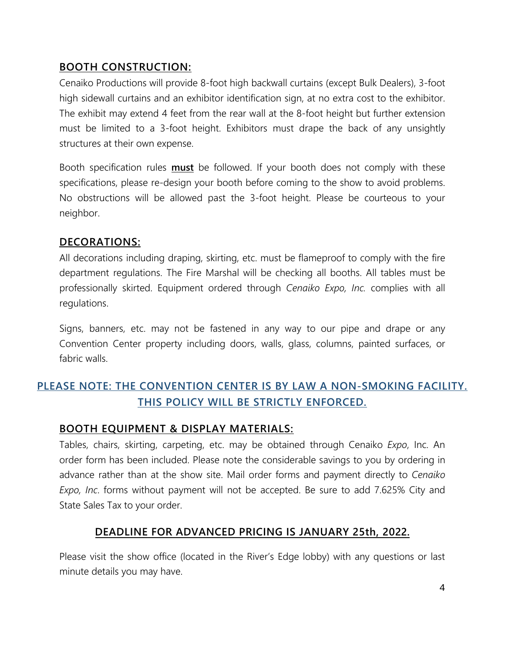## **BOOTH CONSTRUCTION:**

Cenaiko Productions will provide 8-foot high backwall curtains (except Bulk Dealers), 3-foot high sidewall curtains and an exhibitor identification sign, at no extra cost to the exhibitor. The exhibit may extend 4 feet from the rear wall at the 8-foot height but further extension must be limited to a 3-foot height. Exhibitors must drape the back of any unsightly structures at their own expense.

Booth specification rules **must** be followed. If your booth does not comply with these specifications, please re-design your booth before coming to the show to avoid problems. No obstructions will be allowed past the 3-foot height. Please be courteous to your neighbor.

#### **DECORATIONS:**

All decorations including draping, skirting, etc. must be flameproof to comply with the fire department regulations. The Fire Marshal will be checking all booths. All tables must be professionally skirted. Equipment ordered through *Cenaiko Expo, Inc.* complies with all regulations.

Signs, banners, etc. may not be fastened in any way to our pipe and drape or any Convention Center property including doors, walls, glass, columns, painted surfaces, or fabric walls.

# **PLEASE NOTE: THE CONVENTION CENTER IS BY LAW A NON-SMOKING FACILITY. THIS POLICY WILL BE STRICTLY ENFORCED.**

## **BOOTH EQUIPMENT & DISPLAY MATERIALS:**

Tables, chairs, skirting, carpeting, etc. may be obtained through Cenaiko *Expo*, Inc. An order form has been included. Please note the considerable savings to you by ordering in advance rather than at the show site. Mail order forms and payment directly to *Cenaiko Expo, Inc*. forms without payment will not be accepted. Be sure to add 7.625% City and State Sales Tax to your order.

## **DEADLINE FOR ADVANCED PRICING IS JANUARY 25th, 2022.**

Please visit the show office (located in the River's Edge lobby) with any questions or last minute details you may have.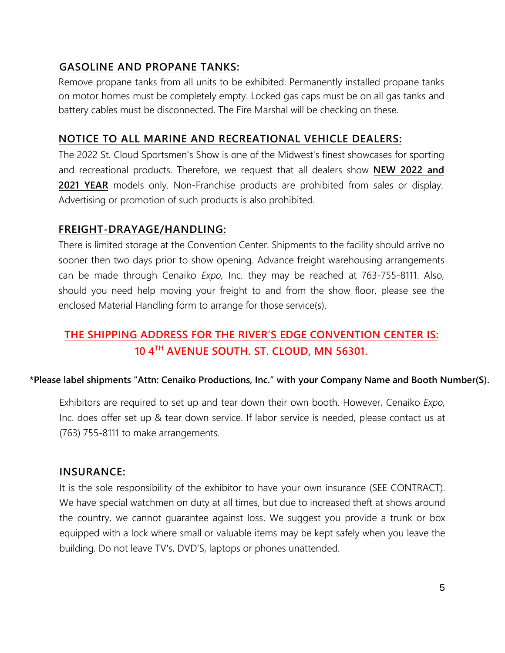## **GASOLINE AND PROPANE TANKS:**

Remove propane tanks from all units to be exhibited. Permanently installed propane tanks on motor homes must be completely empty. Locked gas caps must be on all gas tanks and battery cables must be disconnected. The Fire Marshal will be checking on these.

## **NOTICE TO ALL MARINE AND RECREATIONAL VEHICLE DEALERS:**

The 2022 St. Cloud Sportsmen's Show is one of the Midwest's finest showcases for sporting and recreational products. Therefore, we request that all dealers show **NEW 2022 and 2021 YEAR** models only. Non-Franchise products are prohibited from sales or display. Advertising or promotion of such products is also prohibited.

## **FREIGHT-DRAYAGE/HANDLING:**

There is limited storage at the Convention Center. Shipments to the facility should arrive no sooner then two days prior to show opening. Advance freight warehousing arrangements can be made through Cenaiko *Expo,* Inc. they may be reached at 763-755-8111. Also, should you need help moving your freight to and from the show floor, please see the enclosed Material Handling form to arrange for those service(s).

# **THE SHIPPING ADDRESS FOR THE RIVER'S EDGE CONVENTION CENTER IS: 10 4 TH AVENUE SOUTH. ST. CLOUD, MN 56301.**

#### **\*Please label shipments "Attn: Cenaiko Productions, Inc." with your Company Name and Booth Number(S).**

Exhibitors are required to set up and tear down their own booth. However, Cenaiko *Expo,*  Inc. does offer set up & tear down service. If labor service is needed, please contact us at (763) 755-8111 to make arrangements.

#### **INSURANCE:**

It is the sole responsibility of the exhibitor to have your own insurance (SEE CONTRACT). We have special watchmen on duty at all times, but due to increased theft at shows around the country, we cannot guarantee against loss. We suggest you provide a trunk or box equipped with a lock where small or valuable items may be kept safely when you leave the building. Do not leave TV's, DVD'S, laptops or phones unattended.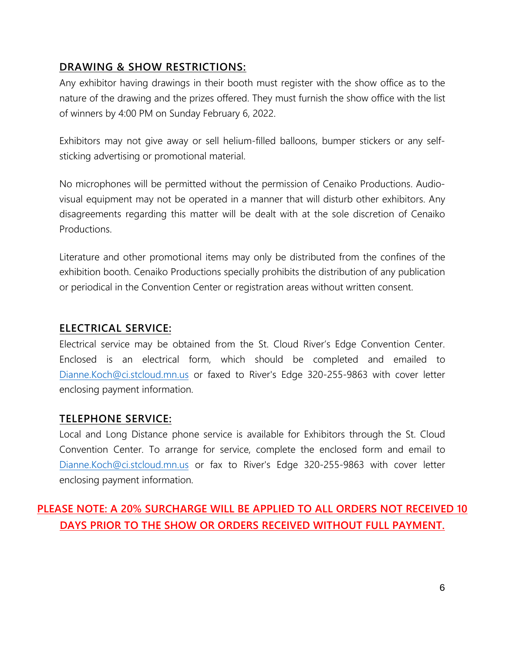## **DRAWING & SHOW RESTRICTIONS:**

Any exhibitor having drawings in their booth must register with the show office as to the nature of the drawing and the prizes offered. They must furnish the show office with the list of winners by 4:00 PM on Sunday February 6, 2022.

Exhibitors may not give away or sell helium-filled balloons, bumper stickers or any selfsticking advertising or promotional material.

No microphones will be permitted without the permission of Cenaiko Productions. Audiovisual equipment may not be operated in a manner that will disturb other exhibitors. Any disagreements regarding this matter will be dealt with at the sole discretion of Cenaiko **Productions** 

Literature and other promotional items may only be distributed from the confines of the exhibition booth. Cenaiko Productions specially prohibits the distribution of any publication or periodical in the Convention Center or registration areas without written consent.

#### **ELECTRICAL SERVICE:**

Electrical service may be obtained from the St. Cloud River's Edge Convention Center. Enclosed is an electrical form, which should be completed and emailed to [Dianne.Koch@ci.stcloud.mn.us](mailto:Dianne.Koch@ci.stcloud.mn.us) or faxed to River's Edge 320-255-9863 with cover letter enclosing payment information.

#### **TELEPHONE SERVICE:**

Local and Long Distance phone service is available for Exhibitors through the St. Cloud Convention Center. To arrange for service, complete the enclosed form and email to [Dianne.Koch@ci.stcloud.mn.us](mailto:Dianne.Koch@ci.stcloud.mn.us) or fax to River's Edge 320-255-9863 with cover letter enclosing payment information.

# **PLEASE NOTE: A 20% SURCHARGE WILL BE APPLIED TO ALL ORDERS NOT RECEIVED 10 DAYS PRIOR TO THE SHOW OR ORDERS RECEIVED WITHOUT FULL PAYMENT.**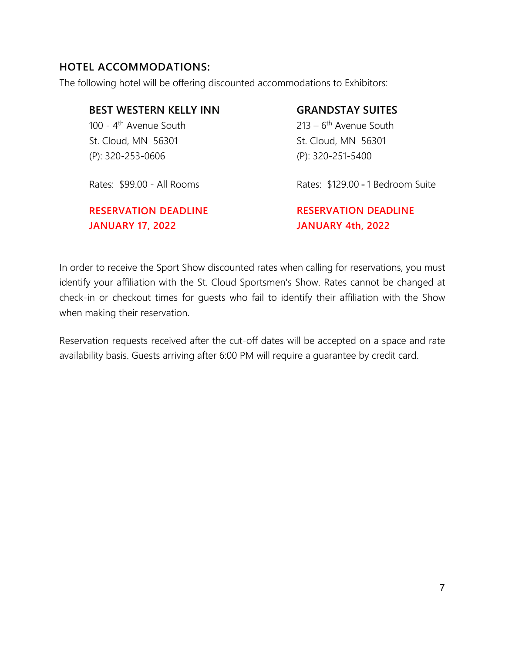### **HOTEL ACCOMMODATIONS:**

The following hotel will be offering discounted accommodations to Exhibitors:

**BEST WESTERN KELLY INN** 100 - 4<sup>th</sup> Avenue South St. Cloud, MN 56301 (P): 320-253-0606

Rates: \$99.00 - All Rooms

## **RESERVATION DEADLINE JANUARY 17, 2022**

### **GRANDSTAY SUITES**

213 – 6<sup>th</sup> Avenue South St. Cloud, MN 56301 (P): 320-251-5400

Rates: \$129.00 - 1 Bedroom Suite

**RESERVATION DEADLINE JANUARY 4th, 2022**

In order to receive the Sport Show discounted rates when calling for reservations, you must identify your affiliation with the St. Cloud Sportsmen's Show. Rates cannot be changed at check-in or checkout times for guests who fail to identify their affiliation with the Show when making their reservation.

Reservation requests received after the cut-off dates will be accepted on a space and rate availability basis. Guests arriving after 6:00 PM will require a guarantee by credit card.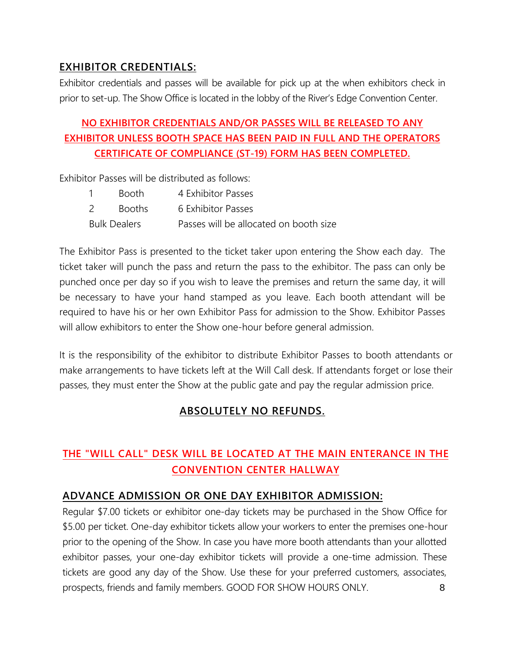### **EXHIBITOR CREDENTIALS:**

Exhibitor credentials and passes will be available for pick up at the when exhibitors check in prior to set-up. The Show Office is located in the lobby of the River's Edge Convention Center.

# **NO EXHIBITOR CREDENTIALS AND/OR PASSES WILL BE RELEASED TO ANY EXHIBITOR UNLESS BOOTH SPACE HAS BEEN PAID IN FULL AND THE OPERATORS CERTIFICATE OF COMPLIANCE (ST-19) FORM HAS BEEN COMPLETED.**

Exhibitor Passes will be distributed as follows:

|                     | <b>Booth</b>  | 4 Exhibitor Passes                     |
|---------------------|---------------|----------------------------------------|
| 2                   | <b>Booths</b> | 6 Exhibitor Passes                     |
| <b>Bulk Dealers</b> |               | Passes will be allocated on booth size |

The Exhibitor Pass is presented to the ticket taker upon entering the Show each day. The ticket taker will punch the pass and return the pass to the exhibitor. The pass can only be punched once per day so if you wish to leave the premises and return the same day, it will be necessary to have your hand stamped as you leave. Each booth attendant will be required to have his or her own Exhibitor Pass for admission to the Show. Exhibitor Passes will allow exhibitors to enter the Show one-hour before general admission.

It is the responsibility of the exhibitor to distribute Exhibitor Passes to booth attendants or make arrangements to have tickets left at the Will Call desk. If attendants forget or lose their passes, they must enter the Show at the public gate and pay the regular admission price.

## **ABSOLUTELY NO REFUNDS.**

# **THE "WILL CALL" DESK WILL BE LOCATED AT THE MAIN ENTERANCE IN THE CONVENTION CENTER HALLWAY**

## **ADVANCE ADMISSION OR ONE DAY EXHIBITOR ADMISSION:**

8 Regular \$7.00 tickets or exhibitor one-day tickets may be purchased in the Show Office for \$5.00 per ticket. One-day exhibitor tickets allow your workers to enter the premises one-hour prior to the opening of the Show. In case you have more booth attendants than your allotted exhibitor passes, your one-day exhibitor tickets will provide a one-time admission. These tickets are good any day of the Show. Use these for your preferred customers, associates, prospects, friends and family members. GOOD FOR SHOW HOURS ONLY.